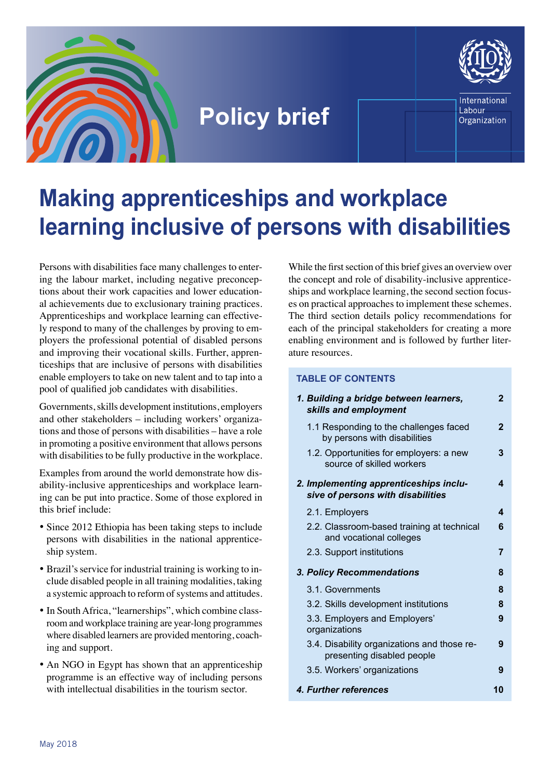

## **Policy brief**



International Labour Organization

# **Making apprenticeships and workplace learning inclusive of persons with disabilities**

Persons with disabilities face many challenges to entering the labour market, including negative preconceptions about their work capacities and lower educational achievements due to exclusionary training practices. Apprenticeships and workplace learning can effectively respond to many of the challenges by proving to employers the professional potential of disabled persons and improving their vocational skills. Further, apprenticeships that are inclusive of persons with disabilities enable employers to take on new talent and to tap into a pool of qualified job candidates with disabilities.

Governments, skills development institutions, employers and other stakeholders – including workers' organizations and those of persons with disabilities – have a role in promoting a positive environment that allows persons with disabilities to be fully productive in the workplace.

Examples from around the world demonstrate how disability-inclusive apprenticeships and workplace learning can be put into practice. Some of those explored in this brief include:

- Since 2012 Ethiopia has been taking steps to include persons with disabilities in the national apprenticeship system.
- Brazil's service for industrial training is working to include disabled people in all training modalities, taking a systemic approach to reform of systems and attitudes.
- In South Africa, "learnerships", which combine classroom and workplace training are year-long programmes where disabled learners are provided mentoring, coaching and support.
- An NGO in Egypt has shown that an apprenticeship programme is an effective way of including persons with intellectual disabilities in the tourism sector.

While the first section of this brief gives an overview over the concept and role of disability-inclusive apprenticeships and workplace learning, the second section focuses on practical approaches to implement these schemes. The third section details policy recommendations for each of the principal stakeholders for creating a more enabling environment and is followed by further literature resources.

#### **TABLE OF CONTENTS**

| 1. Building a bridge between learners,<br>skills and employment             | 2  |
|-----------------------------------------------------------------------------|----|
| 1.1 Responding to the challenges faced<br>by persons with disabilities      | 2  |
| 1.2. Opportunities for employers: a new<br>source of skilled workers        | 3  |
| 2. Implementing apprenticeships inclu-<br>sive of persons with disabilities | 4  |
| 2.1. Employers                                                              | 4  |
| 2.2. Classroom-based training at technical<br>and vocational colleges       | 6  |
| 2.3. Support institutions                                                   | 7  |
| 3. Policy Recommendations                                                   | 8  |
| 3.1. Governments                                                            | 8  |
| 3.2. Skills development institutions                                        | 8  |
| 3.3. Employers and Employers'<br>organizations                              | 9  |
| 3.4. Disability organizations and those re-<br>presenting disabled people   | 9  |
| 3.5. Workers' organizations                                                 | 9  |
| 4. Further references                                                       | 10 |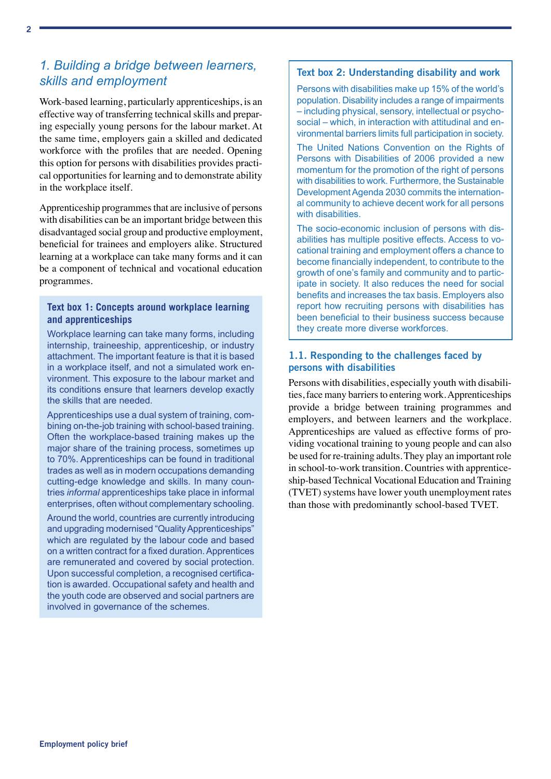### <span id="page-1-0"></span>*1. Building a bridge between learners, skills and employment*

Work-based learning, particularly apprenticeships, is an effective way of transferring technical skills and preparing especially young persons for the labour market. At the same time, employers gain a skilled and dedicated workforce with the profiles that are needed. Opening this option for persons with disabilities provides practical opportunities for learning and to demonstrate ability in the workplace itself.

Apprenticeship programmes that are inclusive of persons with disabilities can be an important bridge between this disadvantaged social group and productive employment, beneficial for trainees and employers alike. Structured learning at a workplace can take many forms and it can be a component of technical and vocational education programmes.

#### **Text box 1: Concepts around workplace learning and apprenticeships**

Workplace learning can take many forms, including internship, traineeship, apprenticeship, or industry attachment. The important feature is that it is based in a workplace itself, and not a simulated work environment. This exposure to the labour market and its conditions ensure that learners develop exactly the skills that are needed.

Apprenticeships use a dual system of training, combining on-the-job training with school-based training. Often the workplace-based training makes up the major share of the training process, sometimes up to 70%. Apprenticeships can be found in traditional trades as well as in modern occupations demanding cutting-edge knowledge and skills. In many countries *informal* apprenticeships take place in informal enterprises, often without complementary schooling.

Around the world, countries are currently introducing and upgrading modernised "Quality Apprenticeships" which are regulated by the labour code and based on a written contract for a fixed duration. Apprentices are remunerated and covered by social protection. Upon successful completion, a recognised certification is awarded. Occupational safety and health and the youth code are observed and social partners are involved in governance of the schemes.

#### Text box 2: Understanding disability and work

Persons with disabilities make up 15% of the world's population. Disability includes a range of impairments – including physical, sensory, intellectual or psychosocial – which, in interaction with attitudinal and environmental barriers limits full participation in society.

The United Nations Convention on the Rights of Persons with Disabilities of 2006 provided a new momentum for the promotion of the right of persons with disabilities to work. Furthermore, the Sustainable Development Agenda 2030 commits the international community to achieve decent work for all persons with disabilities.

The socio-economic inclusion of persons with disabilities has multiple positive effects. Access to vocational training and employment offers a chance to become financially independent, to contribute to the growth of one's family and community and to participate in society. It also reduces the need for social benefits and increases the tax basis. Employers also report how recruiting persons with disabilities has been beneficial to their business success because they create more diverse workforces.

#### 1.1. Responding to the challenges faced by persons with disabilities

Persons with disabilities, especially youth with disabilities, face many barriers to entering work. Apprenticeships provide a bridge between training programmes and employers, and between learners and the workplace. Apprenticeships are valued as effective forms of providing vocational training to young people and can also be used for re-training adults. They play an important role in school-to-work transition. Countries with apprenticeship-based Technical Vocational Education and Training (TVET) systems have lower youth unemployment rates than those with predominantly school-based TVET.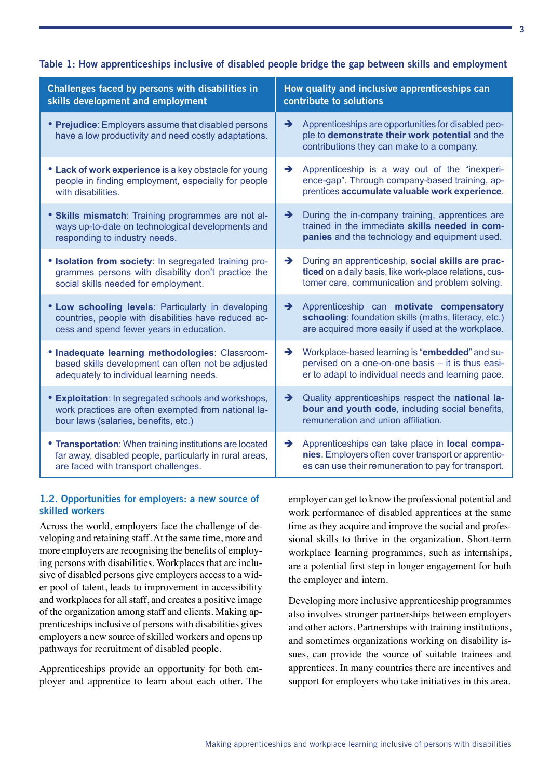#### <span id="page-2-0"></span>Table 1: How apprenticeships inclusive of disabled people bridge the gap between skills and employment

| Challenges faced by persons with disabilities in<br>skills development and employment                                                                       | How quality and inclusive apprenticeships can<br>contribute to solutions                                                                                                             |  |
|-------------------------------------------------------------------------------------------------------------------------------------------------------------|--------------------------------------------------------------------------------------------------------------------------------------------------------------------------------------|--|
| • Prejudice: Employers assume that disabled persons<br>have a low productivity and need costly adaptations.                                                 | Apprenticeships are opportunities for disabled peo-<br>$\rightarrow$<br>ple to demonstrate their work potential and the<br>contributions they can make to a company.                 |  |
| • Lack of work experience is a key obstacle for young<br>people in finding employment, especially for people<br>with disabilities.                          | $\rightarrow$<br>Apprenticeship is a way out of the "inexperi-<br>ence-gap". Through company-based training, ap-<br>prentices accumulate valuable work experience.                   |  |
| • Skills mismatch: Training programmes are not al-<br>ways up-to-date on technological developments and<br>responding to industry needs.                    | During the in-company training, apprentices are<br>$\rightarrow$<br>trained in the immediate skills needed in com-<br>panies and the technology and equipment used.                  |  |
| • Isolation from society: In segregated training pro-<br>grammes persons with disability don't practice the<br>social skills needed for employment.         | During an apprenticeship, social skills are prac-<br>$\rightarrow$<br>ticed on a daily basis, like work-place relations, cus-<br>tomer care, communication and problem solving.      |  |
| • Low schooling levels: Particularly in developing<br>countries, people with disabilities have reduced ac-<br>cess and spend fewer years in education.      | Apprenticeship can motivate compensatory<br>$\rightarrow$<br>schooling: foundation skills (maths, literacy, etc.)<br>are acquired more easily if used at the workplace.              |  |
| • Inadequate learning methodologies: Classroom-<br>based skills development can often not be adjusted<br>adequately to individual learning needs.           | $\rightarrow$<br>Workplace-based learning is "embedded" and su-<br>pervised on a one-on-one basis - it is thus easi-<br>er to adapt to individual needs and learning pace.           |  |
| <b>Exploitation:</b> In segregated schools and workshops,<br>work practices are often exempted from national la-<br>bour laws (salaries, benefits, etc.)    | Quality apprenticeships respect the national la-<br>$\rightarrow$<br>bour and youth code, including social benefits,<br>remuneration and union affiliation.                          |  |
| • Transportation: When training institutions are located<br>far away, disabled people, particularly in rural areas,<br>are faced with transport challenges. | Apprenticeships can take place in <b>local compa-</b><br>$\rightarrow$<br>nies. Employers often cover transport or apprentic-<br>es can use their remuneration to pay for transport. |  |

#### 1.2. Opportunities for employers: a new source of skilled workers

Across the world, employers face the challenge of developing and retaining staff. At the same time, more and more employers are recognising the benefits of employing persons with disabilities. Workplaces that are inclusive of disabled persons give employers access to a wider pool of talent, leads to improvement in accessibility and workplaces for all staff, and creates a positive image of the organization among staff and clients. Making apprenticeships inclusive of persons with disabilities gives employers a new source of skilled workers and opens up pathways for recruitment of disabled people.

Apprenticeships provide an opportunity for both employer and apprentice to learn about each other. The employer can get to know the professional potential and work performance of disabled apprentices at the same time as they acquire and improve the social and professional skills to thrive in the organization. Short-term workplace learning programmes, such as internships, are a potential first step in longer engagement for both the employer and intern.

Developing more inclusive apprenticeship programmes also involves stronger partnerships between employers and other actors. Partnerships with training institutions, and sometimes organizations working on disability issues, can provide the source of suitable trainees and apprentices. In many countries there are incentives and support for employers who take initiatives in this area.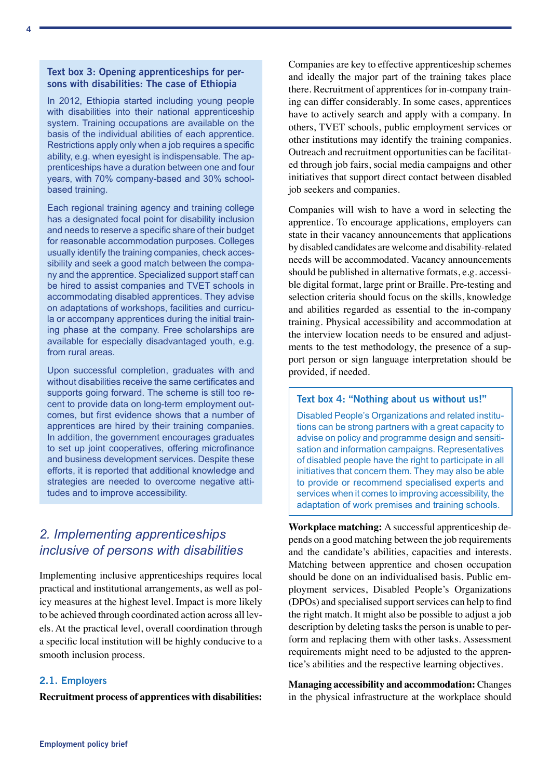#### <span id="page-3-0"></span>Text box 3: Opening apprenticeships for persons with disabilities: The case of Ethiopia

In 2012, Ethiopia started including young people with disabilities into their national apprenticeship system. Training occupations are available on the basis of the individual abilities of each apprentice. Restrictions apply only when a job requires a specific ability, e.g. when eyesight is indispensable. The apprenticeships have a duration between one and four years, with 70% company-based and 30% schoolbased training.

Each regional training agency and training college has a designated focal point for disability inclusion and needs to reserve a specific share of their budget for reasonable accommodation purposes. Colleges usually identify the training companies, check accessibility and seek a good match between the company and the apprentice. Specialized support staff can be hired to assist companies and TVET schools in accommodating disabled apprentices. They advise on adaptations of workshops, facilities and curricula or accompany apprentices during the initial training phase at the company. Free scholarships are available for especially disadvantaged youth, e.g. from rural areas.

Upon successful completion, graduates with and without disabilities receive the same certificates and supports going forward. The scheme is still too recent to provide data on long-term employment outcomes, but first evidence shows that a number of apprentices are hired by their training companies. In addition, the government encourages graduates to set up joint cooperatives, offering microfinance and business development services. Despite these efforts, it is reported that additional knowledge and strategies are needed to overcome negative attitudes and to improve accessibility.

## *2. Implementing apprenticeships inclusive of persons with disabilities*

Implementing inclusive apprenticeships requires local practical and institutional arrangements, as well as policy measures at the highest level. Impact is more likely to be achieved through coordinated action across all levels. At the practical level, overall coordination through a specific local institution will be highly conducive to a smooth inclusion process.

#### 2.1. Employers

**Recruitment process of apprentices with disabilities:**

Companies are key to effective apprenticeship schemes and ideally the major part of the training takes place there. Recruitment of apprentices for in-company training can differ considerably. In some cases, apprentices have to actively search and apply with a company. In others, TVET schools, public employment services or other institutions may identify the training companies. Outreach and recruitment opportunities can be facilitated through job fairs, social media campaigns and other initiatives that support direct contact between disabled job seekers and companies.

Companies will wish to have a word in selecting the apprentice. To encourage applications, employers can state in their vacancy announcements that applications by disabled candidates are welcome and disability-related needs will be accommodated. Vacancy announcements should be published in alternative formats, e.g. accessible digital format, large print or Braille. Pre-testing and selection criteria should focus on the skills, knowledge and abilities regarded as essential to the in-company training. Physical accessibility and accommodation at the interview location needs to be ensured and adjustments to the test methodology, the presence of a support person or sign language interpretation should be provided, if needed.

#### Text box 4: "Nothing about us without us!"

Disabled People's Organizations and related institutions can be strong partners with a great capacity to advise on policy and programme design and sensitisation and information campaigns. Representatives of disabled people have the right to participate in all initiatives that concern them. They may also be able to provide or recommend specialised experts and services when it comes to improving accessibility, the adaptation of work premises and training schools.

**Workplace matching:** A successful apprenticeship depends on a good matching between the job requirements and the candidate's abilities, capacities and interests. Matching between apprentice and chosen occupation should be done on an individualised basis. Public employment services, Disabled People's Organizations (DPOs) and specialised support services can help to find the right match. It might also be possible to adjust a job description by deleting tasks the person is unable to perform and replacing them with other tasks. Assessment requirements might need to be adjusted to the apprentice's abilities and the respective learning objectives.

**Managing accessibility and accommodation:** Changes in the physical infrastructure at the workplace should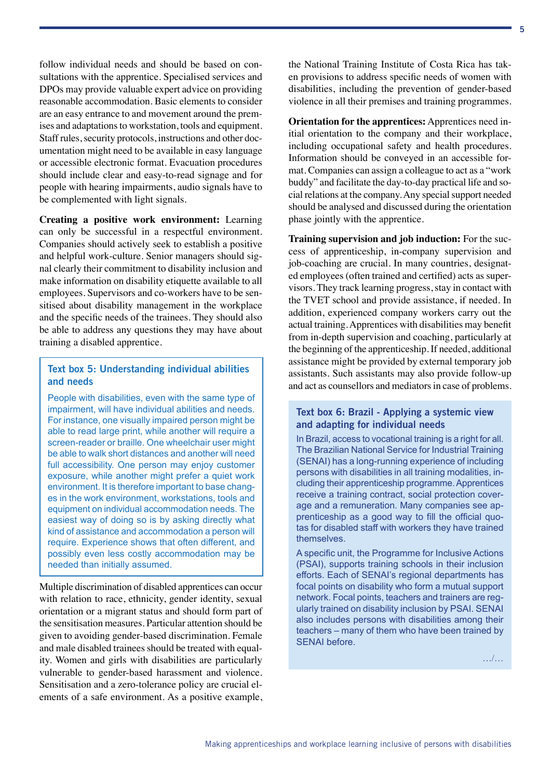follow individual needs and should be based on consultations with the apprentice. Specialised services and DPOs may provide valuable expert advice on providing reasonable accommodation. Basic elements to consider are an easy entrance to and movement around the premises and adaptations to workstation, tools and equipment. Staff rules, security protocols, instructions and other documentation might need to be available in easy language or accessible electronic format. Evacuation procedures should include clear and easy-to-read signage and for people with hearing impairments, audio signals have to be complemented with light signals.

**Creating a positive work environment:** Learning can only be successful in a respectful environment. Companies should actively seek to establish a positive and helpful work-culture. Senior managers should signal clearly their commitment to disability inclusion and make information on disability etiquette available to all employees. Supervisors and co-workers have to be sensitised about disability management in the workplace and the specific needs of the trainees. They should also be able to address any questions they may have about training a disabled apprentice.

#### Text box 5: Understanding individual abilities and needs

People with disabilities, even with the same type of impairment, will have individual abilities and needs. For instance, one visually impaired person might be able to read large print, while another will require a screen-reader or braille. One wheelchair user might be able to walk short distances and another will need full accessibility. One person may enjoy customer exposure, while another might prefer a quiet work environment. It is therefore important to base changes in the work environment, workstations, tools and equipment on individual accommodation needs. The easiest way of doing so is by asking directly what kind of assistance and accommodation a person will require. Experience shows that often different, and possibly even less costly accommodation may be needed than initially assumed.

Multiple discrimination of disabled apprentices can occur with relation to race, ethnicity, gender identity, sexual orientation or a migrant status and should form part of the sensitisation measures. Particular attention should be given to avoiding gender-based discrimination. Female and male disabled trainees should be treated with equality. Women and girls with disabilities are particularly vulnerable to gender-based harassment and violence. Sensitisation and a zero-tolerance policy are crucial elements of a safe environment. As a positive example, the National Training Institute of Costa Rica has taken provisions to address specific needs of women with disabilities, including the prevention of gender-based violence in all their premises and training programmes.

**Orientation for the apprentices:** Apprentices need initial orientation to the company and their workplace, including occupational safety and health procedures. Information should be conveyed in an accessible format. Companies can assign a colleague to act as a "work buddy" and facilitate the day-to-day practical life and social relations at the company. Any special support needed should be analysed and discussed during the orientation phase jointly with the apprentice.

**Training supervision and job induction:** For the success of apprenticeship, in-company supervision and job-coaching are crucial. In many countries, designated employees (often trained and certified) acts as supervisors. They track learning progress, stay in contact with the TVET school and provide assistance, if needed. In addition, experienced company workers carry out the actual training. Apprentices with disabilities may benefit from in-depth supervision and coaching, particularly at the beginning of the apprenticeship. If needed, additional assistance might be provided by external temporary job assistants. Such assistants may also provide follow-up and act as counsellors and mediators in case of problems.

#### Text box 6: Brazil - Applying a systemic view and adapting for individual needs

In Brazil, access to vocational training is a right for all. The Brazilian National Service for Industrial Training (SENAI) has a long-running experience of including persons with disabilities in all training modalities, including their apprenticeship programme. Apprentices receive a training contract, social protection coverage and a remuneration. Many companies see apprenticeship as a good way to fill the official quotas for disabled staff with workers they have trained themselves.

A specific unit, the Programme for Inclusive Actions (PSAI), supports training schools in their inclusion efforts. Each of SENAI's regional departments has focal points on disability who form a mutual support network. Focal points, teachers and trainers are regularly trained on disability inclusion by PSAI. SENAI also includes persons with disabilities among their teachers – many of them who have been trained by SENAI before.

…/…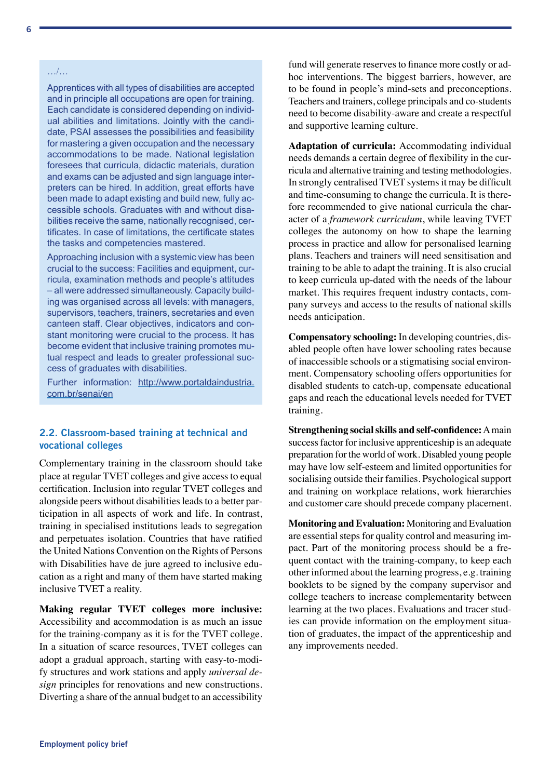#### <span id="page-5-0"></span>…/…

Apprentices with all types of disabilities are accepted and in principle all occupations are open for training. Each candidate is considered depending on individual abilities and limitations. Jointly with the candidate, PSAI assesses the possibilities and feasibility for mastering a given occupation and the necessary accommodations to be made. National legislation foresees that curricula, didactic materials, duration and exams can be adjusted and sign language interpreters can be hired. In addition, great efforts have been made to adapt existing and build new, fully accessible schools. Graduates with and without disabilities receive the same, nationally recognised, certificates. In case of limitations, the certificate states the tasks and competencies mastered.

Approaching inclusion with a systemic view has been crucial to the success: Facilities and equipment, curricula, examination methods and people's attitudes – all were addressed simultaneously. Capacity building was organised across all levels: with managers, supervisors, teachers, trainers, secretaries and even canteen staff. Clear objectives, indicators and constant monitoring were crucial to the process. It has become evident that inclusive training promotes mutual respect and leads to greater professional success of graduates with disabilities.

Further information: [http://www.portaldaindustria.](http://www.portaldaindustria.com.br/senai/en) [com.br/senai/en](http://www.portaldaindustria.com.br/senai/en)

#### 2.2. Classroom-based training at technical and vocational colleges

Complementary training in the classroom should take place at regular TVET colleges and give access to equal certification. Inclusion into regular TVET colleges and alongside peers without disabilities leads to a better participation in all aspects of work and life. In contrast, training in specialised institutions leads to segregation and perpetuates isolation. Countries that have ratified the United Nations Convention on the Rights of Persons with Disabilities have de jure agreed to inclusive education as a right and many of them have started making inclusive TVET a reality.

**Making regular TVET colleges more inclusive:**  Accessibility and accommodation is as much an issue for the training-company as it is for the TVET college. In a situation of scarce resources, TVET colleges can adopt a gradual approach, starting with easy-to-modify structures and work stations and apply *universal design* principles for renovations and new constructions. Diverting a share of the annual budget to an accessibility fund will generate reserves to finance more costly or adhoc interventions. The biggest barriers, however, are to be found in people's mind-sets and preconceptions. Teachers and trainers, college principals and co-students need to become disability-aware and create a respectful and supportive learning culture.

**Adaptation of curricula:** Accommodating individual needs demands a certain degree of flexibility in the curricula and alternative training and testing methodologies. In strongly centralised TVET systems it may be difficult and time-consuming to change the curricula. It is therefore recommended to give national curricula the character of a *framework curriculum*, while leaving TVET colleges the autonomy on how to shape the learning process in practice and allow for personalised learning plans. Teachers and trainers will need sensitisation and training to be able to adapt the training. It is also crucial to keep curricula up-dated with the needs of the labour market. This requires frequent industry contacts, company surveys and access to the results of national skills needs anticipation.

**Compensatory schooling:** In developing countries, disabled people often have lower schooling rates because of inaccessible schools or a stigmatising social environment. Compensatory schooling offers opportunities for disabled students to catch-up, compensate educational gaps and reach the educational levels needed for TVET training.

**Strengthening social skills and self-confidence:** A main success factor for inclusive apprenticeship is an adequate preparation for the world of work. Disabled young people may have low self-esteem and limited opportunities for socialising outside their families. Psychological support and training on workplace relations, work hierarchies and customer care should precede company placement.

**Monitoring and Evaluation:** Monitoring and Evaluation are essential steps for quality control and measuring impact. Part of the monitoring process should be a frequent contact with the training-company, to keep each other informed about the learning progress, e.g. training booklets to be signed by the company supervisor and college teachers to increase complementarity between learning at the two places. Evaluations and tracer studies can provide information on the employment situation of graduates, the impact of the apprenticeship and any improvements needed.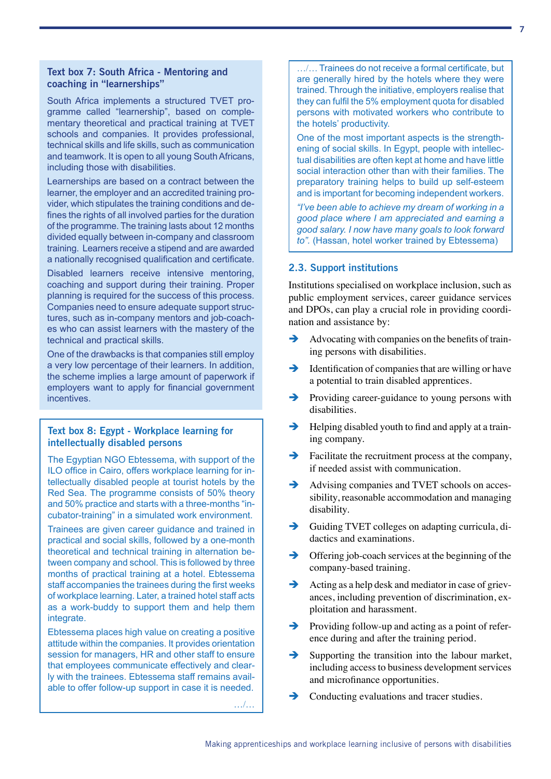#### <span id="page-6-0"></span>Text box 7: South Africa - Mentoring and coaching in "learnerships"

South Africa implements a structured TVET programme called "learnership", based on complementary theoretical and practical training at TVET schools and companies. It provides professional, technical skills and life skills, such as communication and teamwork. It is open to all young South Africans, including those with disabilities.

Learnerships are based on a contract between the learner, the employer and an accredited training provider, which stipulates the training conditions and defines the rights of all involved parties for the duration of the programme. The training lasts about 12 months divided equally between in-company and classroom training. Learners receive a stipend and are awarded a nationally recognised qualification and certificate.

Disabled learners receive intensive mentoring, coaching and support during their training. Proper planning is required for the success of this process. Companies need to ensure adequate support structures, such as in-company mentors and job-coaches who can assist learners with the mastery of the technical and practical skills.

One of the drawbacks is that companies still employ a very low percentage of their learners. In addition, the scheme implies a large amount of paperwork if employers want to apply for financial government incentives.

#### Text box 8: Egypt - Workplace learning for intellectually disabled persons

The Egyptian NGO Ebtessema, with support of the ILO office in Cairo, offers workplace learning for intellectually disabled people at tourist hotels by the Red Sea. The programme consists of 50% theory and 50% practice and starts with a three-months "incubator-training" in a simulated work environment.

Trainees are given career guidance and trained in practical and social skills, followed by a one-month theoretical and technical training in alternation between company and school. This is followed by three months of practical training at a hotel. Ebtessema staff accompanies the trainees during the first weeks of workplace learning. Later, a trained hotel staff acts as a work-buddy to support them and help them integrate.

Ebtessema places high value on creating a positive attitude within the companies. It provides orientation session for managers, HR and other staff to ensure that employees communicate effectively and clearly with the trainees. Ebtessema staff remains available to offer follow-up support in case it is needed.

…/…

…/… Trainees do not receive a formal certificate, but are generally hired by the hotels where they were trained. Through the initiative, employers realise that they can fulfil the 5% employment quota for disabled persons with motivated workers who contribute to the hotels' productivity.

One of the most important aspects is the strengthening of social skills. In Egypt, people with intellectual disabilities are often kept at home and have little social interaction other than with their families. The preparatory training helps to build up self-esteem and is important for becoming independent workers.

*"I've been able to achieve my dream of working in a good place where I am appreciated and earning a good salary. I now have many goals to look forward to".* (Hassan, hotel worker trained by Ebtessema)

#### 2.3. Support institutions

Institutions specialised on workplace inclusion, such as public employment services, career guidance services and DPOs, can play a crucial role in providing coordination and assistance by:

- $\rightarrow$  Advocating with companies on the benefits of training persons with disabilities.
- $\rightarrow$  Identification of companies that are willing or have a potential to train disabled apprentices.
- Providing career-guidance to young persons with disabilities.
- $\rightarrow$  Helping disabled youth to find and apply at a training company.
- $\rightarrow$  Facilitate the recruitment process at the company, if needed assist with communication.
- Advising companies and TVET schools on accessibility, reasonable accommodation and managing disability.
- $\rightarrow$  Guiding TVET colleges on adapting curricula, didactics and examinations.
- $\rightarrow$  Offering job-coach services at the beginning of the company-based training.
- Acting as a help desk and mediator in case of grievances, including prevention of discrimination, exploitation and harassment.
- $\rightarrow$  Providing follow-up and acting as a point of reference during and after the training period.
- $\rightarrow$  Supporting the transition into the labour market, including access to business development services and microfinance opportunities.
- $\rightarrow$  Conducting evaluations and tracer studies.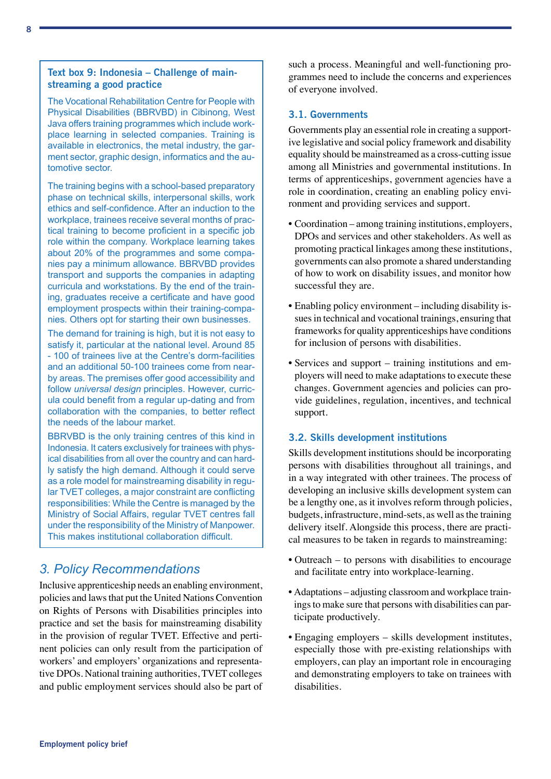#### <span id="page-7-0"></span>Text box 9: Indonesia – Challenge of mainstreaming a good practice

The Vocational Rehabilitation Centre for People with Physical Disabilities (BBRVBD) in Cibinong, West Java offers training programmes which include workplace learning in selected companies. Training is available in electronics, the metal industry, the garment sector, graphic design, informatics and the automotive sector.

The training begins with a school-based preparatory phase on technical skills, interpersonal skills, work ethics and self-confidence. After an induction to the workplace, trainees receive several months of practical training to become proficient in a specific job role within the company. Workplace learning takes about 20% of the programmes and some companies pay a minimum allowance. BBRVBD provides transport and supports the companies in adapting curricula and workstations. By the end of the training, graduates receive a certificate and have good employment prospects within their training-companies. Others opt for starting their own businesses.

The demand for training is high, but it is not easy to satisfy it, particular at the national level. Around 85 - 100 of trainees live at the Centre's dorm-facilities and an additional 50-100 trainees come from nearby areas. The premises offer good accessibility and follow *universal design* principles. However, curricula could benefit from a regular up-dating and from collaboration with the companies, to better reflect the needs of the labour market.

BBRVBD is the only training centres of this kind in Indonesia. It caters exclusively for trainees with physical disabilities from all over the country and can hardly satisfy the high demand. Although it could serve as a role model for mainstreaming disability in regular TVET colleges, a major constraint are conflicting responsibilities: While the Centre is managed by the Ministry of Social Affairs, regular TVET centres fall under the responsibility of the Ministry of Manpower. This makes institutional collaboration difficult.

## *3. Policy Recommendations*

Inclusive apprenticeship needs an enabling environment, policies and laws that put the United Nations Convention on Rights of Persons with Disabilities principles into practice and set the basis for mainstreaming disability in the provision of regular TVET. Effective and pertinent policies can only result from the participation of workers' and employers' organizations and representative DPOs. National training authorities, TVET colleges and public employment services should also be part of such a process. Meaningful and well-functioning programmes need to include the concerns and experiences of everyone involved.

#### 3.1. Governments

Governments play an essential role in creating a supportive legislative and social policy framework and disability equality should be mainstreamed as a cross-cutting issue among all Ministries and governmental institutions. In terms of apprenticeships, government agencies have a role in coordination, creating an enabling policy environment and providing services and support.

- Coordination among training institutions, employers, DPOs and services and other stakeholders. As well as promoting practical linkages among these institutions, governments can also promote a shared understanding of how to work on disability issues, and monitor how successful they are.
- Enabling policy environment including disability issues in technical and vocational trainings, ensuring that frameworks for quality apprenticeships have conditions for inclusion of persons with disabilities.
- Services and support training institutions and employers will need to make adaptations to execute these changes. Government agencies and policies can provide guidelines, regulation, incentives, and technical support.

#### 3.2. Skills development institutions

Skills development institutions should be incorporating persons with disabilities throughout all trainings, and in a way integrated with other trainees. The process of developing an inclusive skills development system can be a lengthy one, as it involves reform through policies, budgets, infrastructure, mind-sets, as well as the training delivery itself. Alongside this process, there are practical measures to be taken in regards to mainstreaming:

- Outreach to persons with disabilities to encourage and facilitate entry into workplace-learning.
- Adaptations adjusting classroom and workplace trainings to make sure that persons with disabilities can participate productively.
- Engaging employers skills development institutes, especially those with pre-existing relationships with employers, can play an important role in encouraging and demonstrating employers to take on trainees with disabilities.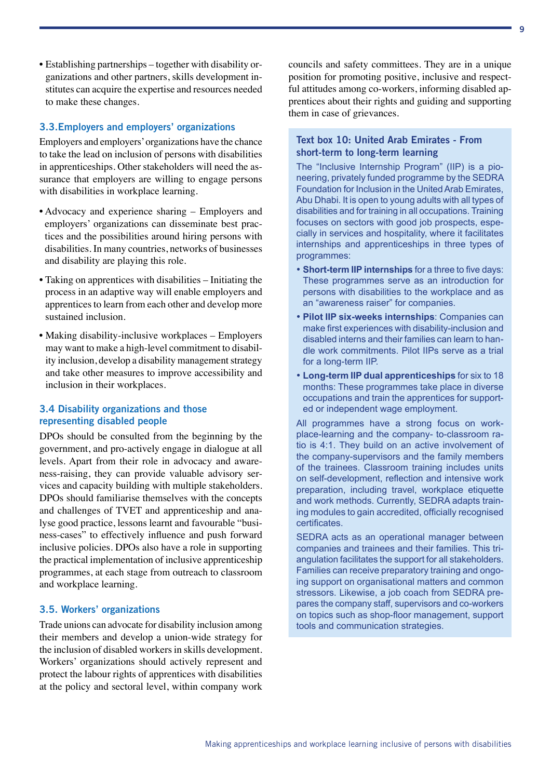<span id="page-8-0"></span>• Establishing partnerships – together with disability organizations and other partners, skills development institutes can acquire the expertise and resources needed to make these changes.

#### 3.3.Employers and employers' organizations

Employers and employers' organizations have the chance to take the lead on inclusion of persons with disabilities in apprenticeships. Other stakeholders will need the assurance that employers are willing to engage persons with disabilities in workplace learning.

- Advocacy and experience sharing Employers and employers' organizations can disseminate best practices and the possibilities around hiring persons with disabilities. In many countries, networks of businesses and disability are playing this role.
- Taking on apprentices with disabilities Initiating the process in an adaptive way will enable employers and apprentices to learn from each other and develop more sustained inclusion.
- Making disability-inclusive workplaces Employers may want to make a high-level commitment to disability inclusion, develop a disability management strategy and take other measures to improve accessibility and inclusion in their workplaces.

#### 3.4 Disability organizations and those representing disabled people

DPOs should be consulted from the beginning by the government, and pro-actively engage in dialogue at all levels. Apart from their role in advocacy and awareness-raising, they can provide valuable advisory services and capacity building with multiple stakeholders. DPOs should familiarise themselves with the concepts and challenges of TVET and apprenticeship and analyse good practice, lessons learnt and favourable "business-cases" to effectively influence and push forward inclusive policies. DPOs also have a role in supporting the practical implementation of inclusive apprenticeship programmes, at each stage from outreach to classroom and workplace learning.

#### 3.5. Workers' organizations

Trade unions can advocate for disability inclusion among their members and develop a union-wide strategy for the inclusion of disabled workers in skills development. Workers' organizations should actively represent and protect the labour rights of apprentices with disabilities at the policy and sectoral level, within company work councils and safety committees. They are in a unique position for promoting positive, inclusive and respectful attitudes among co-workers, informing disabled apprentices about their rights and guiding and supporting them in case of grievances.

#### Text box 10: United Arab Emirates - From short-term to long-term learning

The "Inclusive Internship Program" (IIP) is a pioneering, privately funded programme by the SEDRA Foundation for Inclusion in the United Arab Emirates, Abu Dhabi. It is open to young adults with all types of disabilities and for training in all occupations. Training focuses on sectors with good job prospects, especially in services and hospitality, where it facilitates internships and apprenticeships in three types of programmes:

- **Short-term IIP internships** for a three to five days: These programmes serve as an introduction for persons with disabilities to the workplace and as an "awareness raiser" for companies.
- **Pilot IIP six-weeks internships**: Companies can make first experiences with disability-inclusion and disabled interns and their families can learn to handle work commitments. Pilot IIPs serve as a trial for a long-term IIP.
- **Long-term IIP dual apprenticeships** for six to 18 months: These programmes take place in diverse occupations and train the apprentices for supported or independent wage employment.

All programmes have a strong focus on workplace-learning and the company- to-classroom ratio is 4:1. They build on an active involvement of the company-supervisors and the family members of the trainees. Classroom training includes units on self-development, reflection and intensive work preparation, including travel, workplace etiquette and work methods. Currently, SEDRA adapts training modules to gain accredited, officially recognised certificates.

SEDRA acts as an operational manager between companies and trainees and their families. This triangulation facilitates the support for all stakeholders. Families can receive preparatory training and ongoing support on organisational matters and common stressors. Likewise, a job coach from SEDRA prepares the company staff, supervisors and co-workers on topics such as shop-floor management, support tools and communication strategies.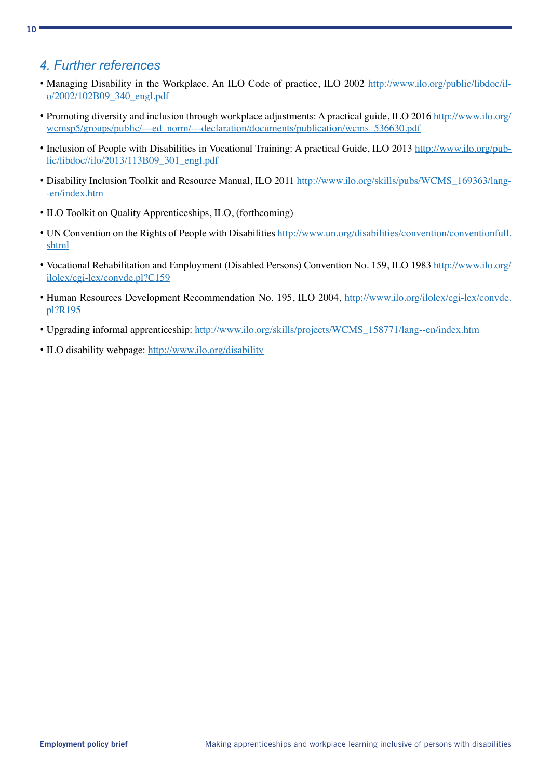## <span id="page-9-0"></span>*4. Further references*

- Managing Disability in the Workplace. An ILO Code of practice, ILO 2002 [http://www.ilo.org/public/libdoc/il](http://www.ilo.org/public/libdoc/ilo/2002/102B09_340_engl.pdf)[o/2002/102B09\\_340\\_engl.pdf](http://www.ilo.org/public/libdoc/ilo/2002/102B09_340_engl.pdf)
- Promoting diversity and inclusion through workplace adjustments: A practical guide, ILO 2016 [http://www.ilo.org/](http://www.ilo.org/wcmsp5/groups/public/---ed_norm/---declaration/documents/publication/wcms_536630.pdf) [wcmsp5/groups/public/---ed\\_norm/---declaration/documents/publication/wcms\\_536630.pdf](http://www.ilo.org/wcmsp5/groups/public/---ed_norm/---declaration/documents/publication/wcms_536630.pdf)
- Inclusion of People with Disabilities in Vocational Training: A practical Guide, ILO 2013 [http://www.ilo.org/pub](http://www.ilo.org/public/libdoc//ilo/2013/113B09_301_engl.pdf)[lic/libdoc//ilo/2013/113B09\\_301\\_engl.pdf](http://www.ilo.org/public/libdoc//ilo/2013/113B09_301_engl.pdf)
- Disability Inclusion Toolkit and Resource Manual, ILO 2011 [http://www.ilo.org/skills/pubs/WCMS\\_169363/lang-](http://www.ilo.org/skills/pubs/WCMS_169363/lang--en/index.htm) [-en/index.htm](http://www.ilo.org/skills/pubs/WCMS_169363/lang--en/index.htm)
- ILO Toolkit on Quality Apprenticeships, ILO, (forthcoming)
- UN Convention on the Rights of People with Disabilities [http://www.un.org/disabilities/convention/conventionfull.](http://www.un.org/disabilities/convention/conventionfull.shtml) [shtml](http://www.un.org/disabilities/convention/conventionfull.shtml)
- Vocational Rehabilitation and Employment (Disabled Persons) Convention No. 159, ILO 1983 [http://www.ilo.org/](http://www.ilo.org/ilolex/cgi-lex/convde.pl?C159) [ilolex/cgi-lex/convde.pl?C159](http://www.ilo.org/ilolex/cgi-lex/convde.pl?C159)
- Human Resources Development Recommendation No. 195, ILO 2004, [http://www.ilo.org/ilolex/cgi-lex/convde.](http://www.ilo.org/ilolex/cgi-lex/convde.pl?R195) [pl?R195](http://www.ilo.org/ilolex/cgi-lex/convde.pl?R195)
- Upgrading informal apprenticeship: [http://www.ilo.org/skills/projects/WCMS\\_158771/lang--en/index.htm](http://www.ilo.org/skills/projects/WCMS_158771/lang--en/index.htm)
- ILO disability webpage:<http://www.ilo.org/disability>